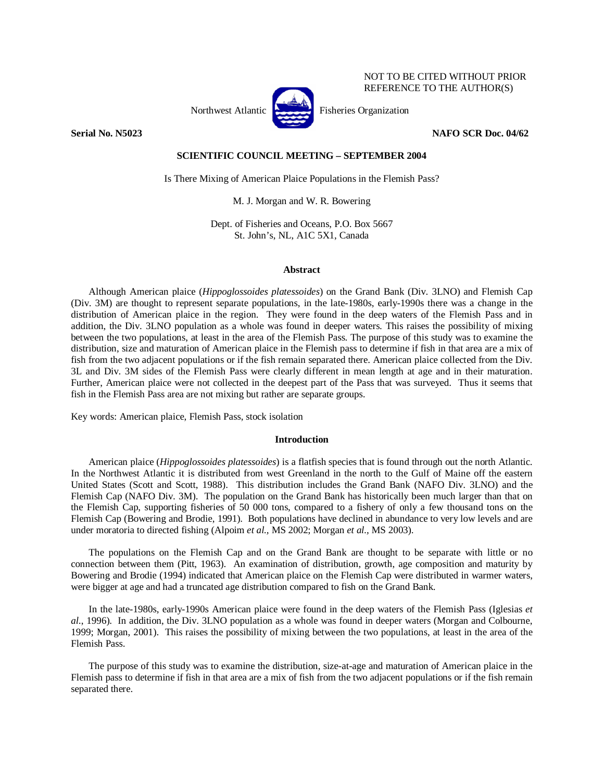

NOT TO BE CITED WITHOUT PRIOR REFERENCE TO THE AUTHOR(S)

# **Serial No. N5023 NAFO SCR Doc. 04/62**

# **SCIENTIFIC COUNCIL MEETING – SEPTEMBER 2004**

Is There Mixing of American Plaice Populations in the Flemish Pass?

M. J. Morgan and W. R. Bowering

Dept. of Fisheries and Oceans, P.O. Box 5667 St. John's, NL, A1C 5X1, Canada

### **Abstract**

Although American plaice (*Hippoglossoides platessoides*) on the Grand Bank (Div. 3LNO) and Flemish Cap (Div. 3M) are thought to represent separate populations, in the late-1980s, early-1990s there was a change in the distribution of American plaice in the region. They were found in the deep waters of the Flemish Pass and in addition, the Div. 3LNO population as a whole was found in deeper waters. This raises the possibility of mixing between the two populations, at least in the area of the Flemish Pass. The purpose of this study was to examine the distribution, size and maturation of American plaice in the Flemish pass to determine if fish in that area are a mix of fish from the two adjacent populations or if the fish remain separated there. American plaice collected from the Div. 3L and Div. 3M sides of the Flemish Pass were clearly different in mean length at age and in their maturation. Further, American plaice were not collected in the deepest part of the Pass that was surveyed. Thus it seems that fish in the Flemish Pass area are not mixing but rather are separate groups.

Key words: American plaice, Flemish Pass, stock isolation

### **Introduction**

American plaice (*Hippoglossoides platessoides*) is a flatfish species that is found through out the north Atlantic. In the Northwest Atlantic it is distributed from west Greenland in the north to the Gulf of Maine off the eastern United States (Scott and Scott, 1988). This distribution includes the Grand Bank (NAFO Div. 3LNO) and the Flemish Cap (NAFO Div. 3M). The population on the Grand Bank has historically been much larger than that on the Flemish Cap, supporting fisheries of 50 000 tons, compared to a fishery of only a few thousand tons on the Flemish Cap (Bowering and Brodie, 1991). Both populations have declined in abundance to very low levels and are under moratoria to directed fishing (Alpoim *et al.,* MS 2002; Morgan *et al.,* MS 2003).

The populations on the Flemish Cap and on the Grand Bank are thought to be separate with little or no connection between them (Pitt, 1963). An examination of distribution, growth, age composition and maturity by Bowering and Brodie (1994) indicated that American plaice on the Flemish Cap were distributed in warmer waters, were bigger at age and had a truncated age distribution compared to fish on the Grand Bank.

In the late-1980s, early-1990s American plaice were found in the deep waters of the Flemish Pass (Iglesias *et al.*, 1996). In addition, the Div. 3LNO population as a whole was found in deeper waters (Morgan and Colbourne, 1999; Morgan, 2001). This raises the possibility of mixing between the two populations, at least in the area of the Flemish Pass.

The purpose of this study was to examine the distribution, size-at-age and maturation of American plaice in the Flemish pass to determine if fish in that area are a mix of fish from the two adjacent populations or if the fish remain separated there.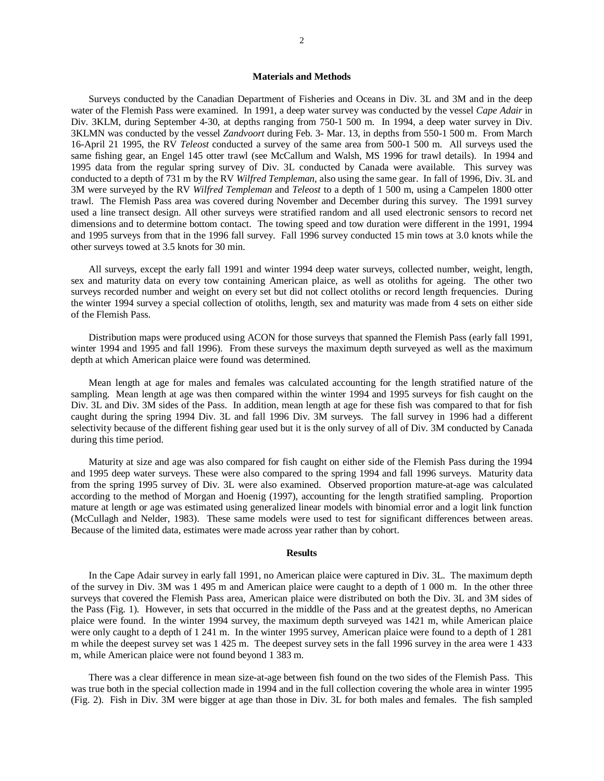## **Materials and Methods**

Surveys conducted by the Canadian Department of Fisheries and Oceans in Div. 3L and 3M and in the deep water of the Flemish Pass were examined. In 1991, a deep water survey was conducted by the vessel *Cape Adair* in Div. 3KLM, during September 4-30, at depths ranging from 750-1 500 m. In 1994, a deep water survey in Div. 3KLMN was conducted by the vessel *Zandvoort* during Feb. 3- Mar. 13, in depths from 550-1 500 m. From March 16-April 21 1995, the RV *Teleost* conducted a survey of the same area from 500-1 500 m. All surveys used the same fishing gear, an Engel 145 otter trawl (see McCallum and Walsh, MS 1996 for trawl details). In 1994 and 1995 data from the regular spring survey of Div. 3L conducted by Canada were available. This survey was conducted to a depth of 731 m by the RV *Wilfred Templeman*, also using the same gear. In fall of 1996, Div. 3L and 3M were surveyed by the RV *Wilfred Templeman* and *Teleost* to a depth of 1 500 m, using a Campelen 1800 otter trawl. The Flemish Pass area was covered during November and December during this survey. The 1991 survey used a line transect design. All other surveys were stratified random and all used electronic sensors to record net dimensions and to determine bottom contact. The towing speed and tow duration were different in the 1991, 1994 and 1995 surveys from that in the 1996 fall survey. Fall 1996 survey conducted 15 min tows at 3.0 knots while the other surveys towed at 3.5 knots for 30 min.

All surveys, except the early fall 1991 and winter 1994 deep water surveys, collected number, weight, length, sex and maturity data on every tow containing American plaice, as well as otoliths for ageing. The other two surveys recorded number and weight on every set but did not collect otoliths or record length frequencies. During the winter 1994 survey a special collection of otoliths, length, sex and maturity was made from 4 sets on either side of the Flemish Pass.

Distribution maps were produced using ACON for those surveys that spanned the Flemish Pass (early fall 1991, winter 1994 and 1995 and fall 1996). From these surveys the maximum depth surveyed as well as the maximum depth at which American plaice were found was determined.

Mean length at age for males and females was calculated accounting for the length stratified nature of the sampling. Mean length at age was then compared within the winter 1994 and 1995 surveys for fish caught on the Div. 3L and Div. 3M sides of the Pass. In addition, mean length at age for these fish was compared to that for fish caught during the spring 1994 Div. 3L and fall 1996 Div. 3M surveys. The fall survey in 1996 had a different selectivity because of the different fishing gear used but it is the only survey of all of Div. 3M conducted by Canada during this time period.

Maturity at size and age was also compared for fish caught on either side of the Flemish Pass during the 1994 and 1995 deep water surveys. These were also compared to the spring 1994 and fall 1996 surveys. Maturity data from the spring 1995 survey of Div. 3L were also examined. Observed proportion mature-at-age was calculated according to the method of Morgan and Hoenig (1997), accounting for the length stratified sampling. Proportion mature at length or age was estimated using generalized linear models with binomial error and a logit link function (McCullagh and Nelder, 1983). These same models were used to test for significant differences between areas. Because of the limited data, estimates were made across year rather than by cohort.

# **Results**

In the Cape Adair survey in early fall 1991, no American plaice were captured in Div. 3L. The maximum depth of the survey in Div. 3M was 1 495 m and American plaice were caught to a depth of 1 000 m. In the other three surveys that covered the Flemish Pass area, American plaice were distributed on both the Div. 3L and 3M sides of the Pass (Fig. 1). However, in sets that occurred in the middle of the Pass and at the greatest depths, no American plaice were found. In the winter 1994 survey, the maximum depth surveyed was 1421 m, while American plaice were only caught to a depth of 1 241 m. In the winter 1995 survey, American plaice were found to a depth of 1 281 m while the deepest survey set was 1 425 m. The deepest survey sets in the fall 1996 survey in the area were 1 433 m, while American plaice were not found beyond 1 383 m.

There was a clear difference in mean size-at-age between fish found on the two sides of the Flemish Pass. This was true both in the special collection made in 1994 and in the full collection covering the whole area in winter 1995 (Fig. 2). Fish in Div. 3M were bigger at age than those in Div. 3L for both males and females. The fish sampled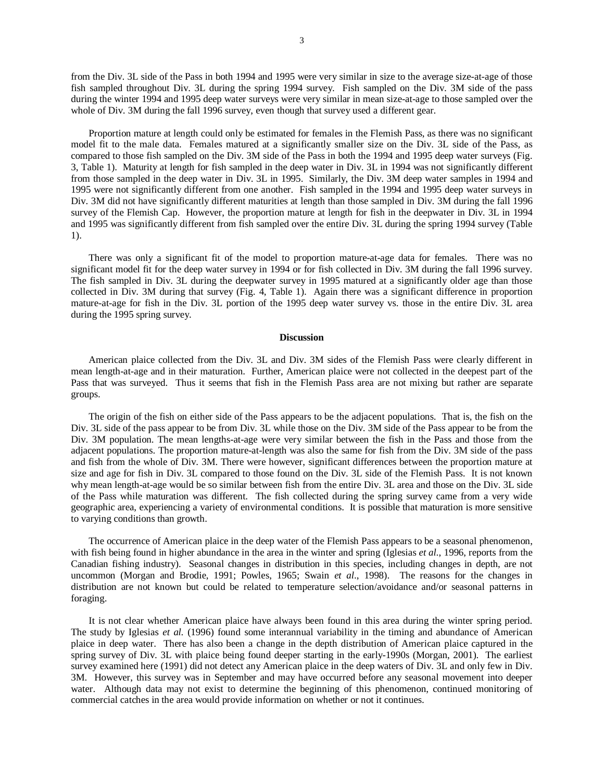from the Div. 3L side of the Pass in both 1994 and 1995 were very similar in size to the average size-at-age of those fish sampled throughout Div. 3L during the spring 1994 survey. Fish sampled on the Div. 3M side of the pass during the winter 1994 and 1995 deep water surveys were very similar in mean size-at-age to those sampled over the whole of Div. 3M during the fall 1996 survey, even though that survey used a different gear.

Proportion mature at length could only be estimated for females in the Flemish Pass, as there was no significant model fit to the male data. Females matured at a significantly smaller size on the Div. 3L side of the Pass, as compared to those fish sampled on the Div. 3M side of the Pass in both the 1994 and 1995 deep water surveys (Fig. 3, Table 1). Maturity at length for fish sampled in the deep water in Div. 3L in 1994 was not significantly different from those sampled in the deep water in Div. 3L in 1995. Similarly, the Div. 3M deep water samples in 1994 and 1995 were not significantly different from one another. Fish sampled in the 1994 and 1995 deep water surveys in Div. 3M did not have significantly different maturities at length than those sampled in Div. 3M during the fall 1996 survey of the Flemish Cap. However, the proportion mature at length for fish in the deepwater in Div. 3L in 1994 and 1995 was significantly different from fish sampled over the entire Div. 3L during the spring 1994 survey (Table 1).

There was only a significant fit of the model to proportion mature-at-age data for females. There was no significant model fit for the deep water survey in 1994 or for fish collected in Div. 3M during the fall 1996 survey. The fish sampled in Div. 3L during the deepwater survey in 1995 matured at a significantly older age than those collected in Div. 3M during that survey (Fig. 4, Table 1). Again there was a significant difference in proportion mature-at-age for fish in the Div. 3L portion of the 1995 deep water survey vs. those in the entire Div. 3L area during the 1995 spring survey.

#### **Discussion**

American plaice collected from the Div. 3L and Div. 3M sides of the Flemish Pass were clearly different in mean length-at-age and in their maturation. Further, American plaice were not collected in the deepest part of the Pass that was surveyed. Thus it seems that fish in the Flemish Pass area are not mixing but rather are separate groups.

 The origin of the fish on either side of the Pass appears to be the adjacent populations. That is, the fish on the Div. 3L side of the pass appear to be from Div. 3L while those on the Div. 3M side of the Pass appear to be from the Div. 3M population. The mean lengths-at-age were very similar between the fish in the Pass and those from the adjacent populations. The proportion mature-at-length was also the same for fish from the Div. 3M side of the pass and fish from the whole of Div. 3M. There were however, significant differences between the proportion mature at size and age for fish in Div. 3L compared to those found on the Div. 3L side of the Flemish Pass. It is not known why mean length-at-age would be so similar between fish from the entire Div. 3L area and those on the Div. 3L side of the Pass while maturation was different. The fish collected during the spring survey came from a very wide geographic area, experiencing a variety of environmental conditions. It is possible that maturation is more sensitive to varying conditions than growth.

 The occurrence of American plaice in the deep water of the Flemish Pass appears to be a seasonal phenomenon, with fish being found in higher abundance in the area in the winter and spring (Iglesias *et al*., 1996, reports from the Canadian fishing industry). Seasonal changes in distribution in this species, including changes in depth, are not uncommon (Morgan and Brodie, 1991; Powles, 1965; Swain *et al*., 1998). The reasons for the changes in distribution are not known but could be related to temperature selection/avoidance and/or seasonal patterns in foraging.

 It is not clear whether American plaice have always been found in this area during the winter spring period. The study by Iglesias *et al.* (1996) found some interannual variability in the timing and abundance of American plaice in deep water. There has also been a change in the depth distribution of American plaice captured in the spring survey of Div. 3L with plaice being found deeper starting in the early-1990s (Morgan, 2001). The earliest survey examined here (1991) did not detect any American plaice in the deep waters of Div. 3L and only few in Div. 3M. However, this survey was in September and may have occurred before any seasonal movement into deeper water. Although data may not exist to determine the beginning of this phenomenon, continued monitoring of commercial catches in the area would provide information on whether or not it continues.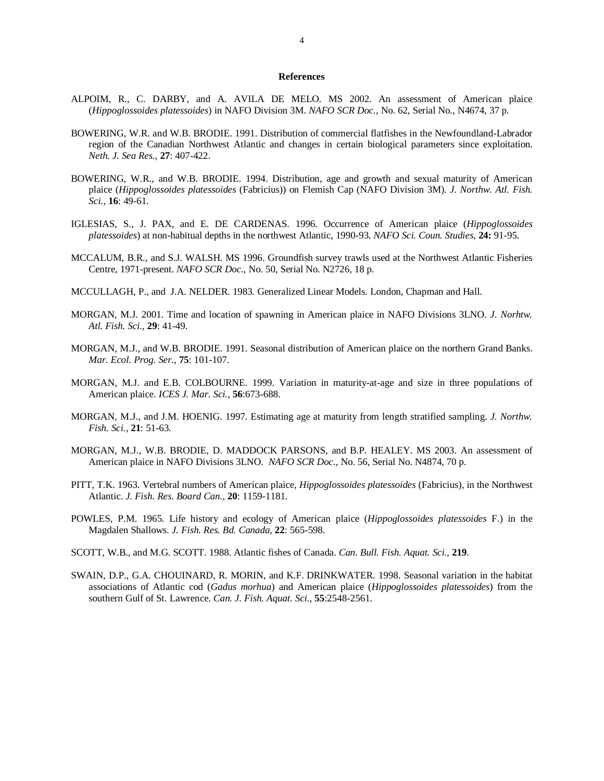## **References**

- ALPOIM, R., C. DARBY, and A. AVILA DE MELO. MS 2002. An assessment of American plaice (*Hippoglossoides platessoides*) in NAFO Division 3M. *NAFO SCR Doc.,* No. 62, Serial No., N4674, 37 p.
- BOWERING, W.R. and W.B. BRODIE. 1991. Distribution of commercial flatfishes in the Newfoundland-Labrador region of the Canadian Northwest Atlantic and changes in certain biological parameters since exploitation. *Neth. J. Sea Res.,* **27**: 407-422.
- BOWERING, W.R., and W.B. BRODIE. 1994. Distribution, age and growth and sexual maturity of American plaice (*Hippoglossoides platessoides* (Fabricius)) on Flemish Cap (NAFO Division 3M). *J. Northw. Atl. Fish. Sci.,* **16**: 49-61.
- IGLESIAS, S., J. PAX, and E. DE CARDENAS. 1996. Occurrence of American plaice (*Hippoglossoides platessoides*) at non-habitual depths in the northwest Atlantic, 1990-93. *NAFO Sci. Coun. Studies,* **24:** 91-95.
- MCCALUM, B.R., and S.J. WALSH. MS 1996. Groundfish survey trawls used at the Northwest Atlantic Fisheries Centre, 1971-present. *NAFO SCR Doc.,* No. 50, Serial No. N2726, 18 p.
- MCCULLAGH, P., and J.A. NELDER. 1983. Generalized Linear Models. London, Chapman and Hall.
- MORGAN, M.J. 2001. Time and location of spawning in American plaice in NAFO Divisions 3LNO. *J. Norhtw. Atl. Fish. Sci.,* **29**: 41-49.
- MORGAN, M.J., and W.B. BRODIE. 1991. Seasonal distribution of American plaice on the northern Grand Banks. *Mar. Ecol. Prog. Ser.,* **75**: 101-107.
- MORGAN, M.J. and E.B. COLBOURNE. 1999. Variation in maturity-at-age and size in three populations of American plaice. *ICES J. Mar. Sci.,* **56**:673-688.
- MORGAN, M.J., and J.M. HOENIG. 1997. Estimating age at maturity from length stratified sampling. *J. Northw. Fish. Sci.,* **21**: 51-63.
- MORGAN, M.J., W.B. BRODIE, D. MADDOCK PARSONS, and B.P. HEALEY. MS 2003. An assessment of American plaice in NAFO Divisions 3LNO. *NAFO SCR Doc*., No. 56, Serial No. N4874, 70 p.
- PITT, T.K. 1963. Vertebral numbers of American plaice, *Hippoglossoides platessoides* (Fabricius), in the Northwest Atlantic. *J. Fish. Res. Board Can.,* **20**: 1159-1181.
- POWLES, P.M. 1965. Life history and ecology of American plaice (*Hippoglossoides platessoides* F.) in the Magdalen Shallows. *J. Fish. Res. Bd. Canada,* **22**: 565-598.
- SCOTT, W.B., and M.G. SCOTT. 1988. Atlantic fishes of Canada. *Can. Bull. Fish. Aquat. Sci.,* **219**.
- SWAIN, D.P., G.A. CHOUINARD, R. MORIN, and K.F. DRINKWATER. 1998. Seasonal variation in the habitat associations of Atlantic cod (*Gadus morhua*) and American plaice (*Hippoglossoides platessoides*) from the southern Gulf of St. Lawrence. *Can. J. Fish. Aquat. Sci.,* **55**:2548-2561.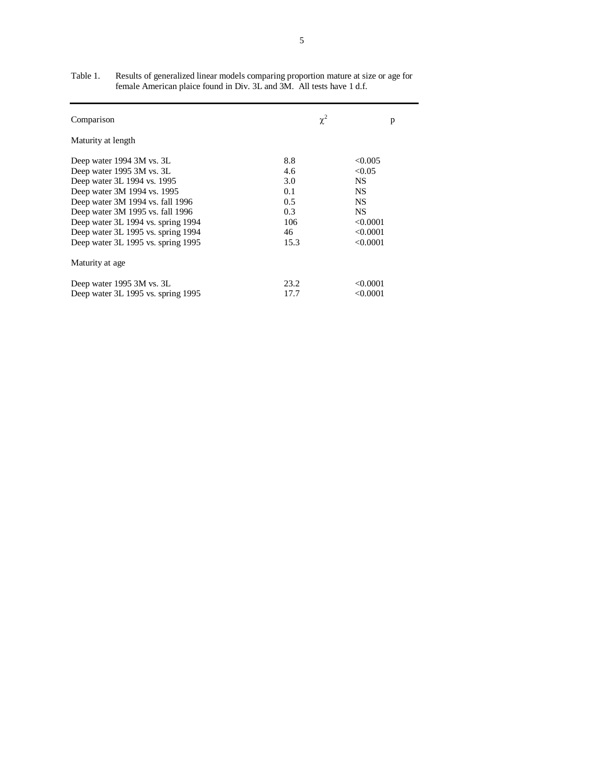| Comparison                         | $\chi^2$ | p         |
|------------------------------------|----------|-----------|
| Maturity at length                 |          |           |
| Deep water 1994 3M vs. 3L          | 8.8      | < 0.005   |
| Deep water 1995 3M vs. 3L          | 4.6      | < 0.05    |
| Deep water 3L 1994 vs. 1995        | 3.0      | <b>NS</b> |
| Deep water 3M 1994 vs. 1995        | 0.1      | <b>NS</b> |
| Deep water 3M 1994 vs. fall 1996   | 0.5      | <b>NS</b> |
| Deep water 3M 1995 vs. fall 1996   | 0.3      | NS.       |
| Deep water 3L 1994 vs. spring 1994 | 106      | < 0.0001  |
| Deep water 3L 1995 vs. spring 1994 | 46       | < 0.0001  |
| Deep water 3L 1995 vs. spring 1995 | 15.3     | < 0.0001  |
| Maturity at age                    |          |           |
| Deep water 1995 3M vs. 3L          | 23.2     | < 0.0001  |
| Deep water 3L 1995 vs. spring 1995 | 17.7     | < 0.0001  |

| Table 1. | Results of generalized linear models comparing proportion mature at size or age for |
|----------|-------------------------------------------------------------------------------------|
|          | female American plaice found in Div. 3L and 3M. All tests have 1 d.f.               |
|          |                                                                                     |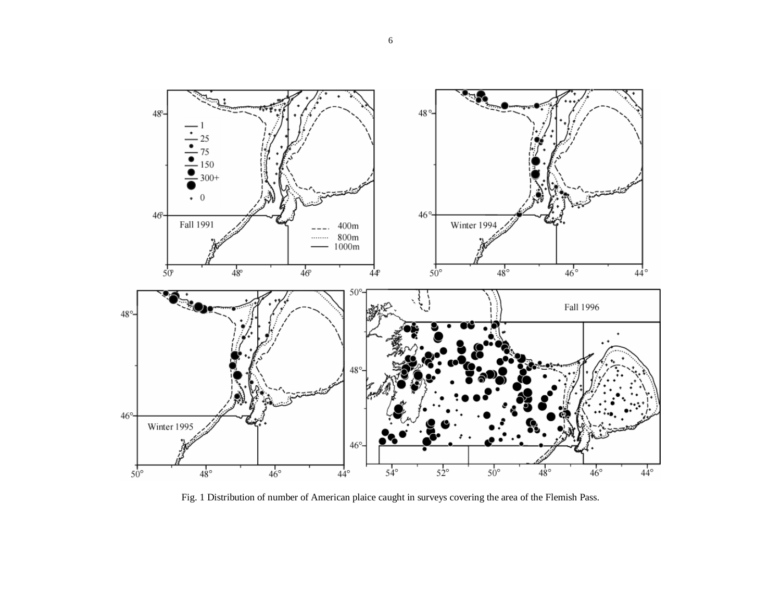

Fig. 1 Distribution of number of American plaice caught in surveys covering the area of the Flemish Pass.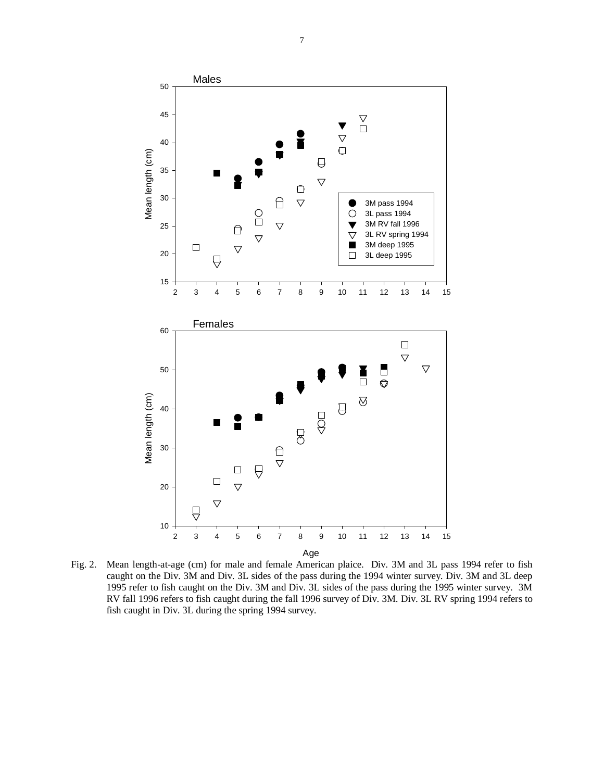

Fig. 2. Mean length-at-age (cm) for male and female American plaice. Div. 3M and 3L pass 1994 refer to fish caught on the Div. 3M and Div. 3L sides of the pass during the 1994 winter survey. Div. 3M and 3L deep 1995 refer to fish caught on the Div. 3M and Div. 3L sides of the pass during the 1995 winter survey. 3M RV fall 1996 refers to fish caught during the fall 1996 survey of Div. 3M. Div. 3L RV spring 1994 refers to fish caught in Div. 3L during the spring 1994 survey.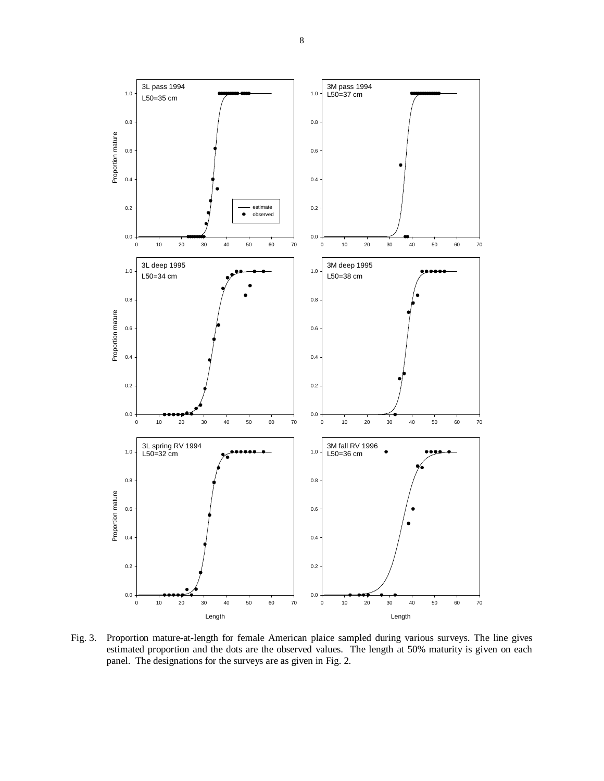

Fig. 3. Proportion mature-at-length for female American plaice sampled during various surveys. The line gives estimated proportion and the dots are the observed values. The length at 50% maturity is given on each panel. The designations for the surveys are as given in Fig. 2.